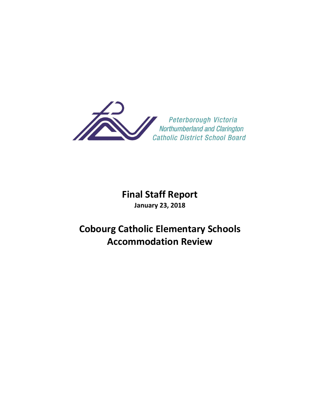

## **Final Staff Report January 23, 2018**

# **Cobourg Catholic Elementary Schools Accommodation Review**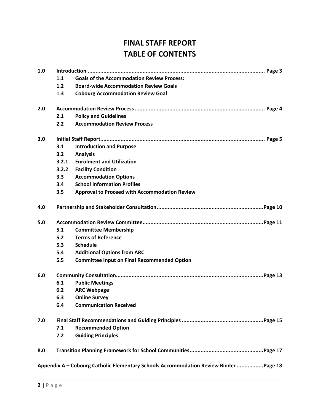## **FINAL STAFF REPORT TABLE OF CONTENTS**

| 1.0 |                                     |                                                                                      |  |  |  |  |
|-----|-------------------------------------|--------------------------------------------------------------------------------------|--|--|--|--|
|     | 1.1                                 | <b>Goals of the Accommodation Review Process:</b>                                    |  |  |  |  |
|     | 1.2                                 | <b>Board-wide Accommodation Review Goals</b>                                         |  |  |  |  |
|     | 1.3                                 | <b>Cobourg Accommodation Review Goal</b>                                             |  |  |  |  |
| 2.0 |                                     |                                                                                      |  |  |  |  |
|     | 2.1<br><b>Policy and Guidelines</b> |                                                                                      |  |  |  |  |
|     | 2.2                                 | <b>Accommodation Review Process</b>                                                  |  |  |  |  |
| 3.0 |                                     |                                                                                      |  |  |  |  |
|     | 3.1                                 | <b>Introduction and Purpose</b>                                                      |  |  |  |  |
|     | 3.2                                 | <b>Analysis</b>                                                                      |  |  |  |  |
|     | 3.2.1                               | <b>Enrolment and Utilization</b>                                                     |  |  |  |  |
|     | 3.2.2                               | <b>Facility Condition</b>                                                            |  |  |  |  |
|     | 3.3                                 | <b>Accommodation Options</b>                                                         |  |  |  |  |
|     | 3.4                                 | <b>School Information Profiles</b>                                                   |  |  |  |  |
|     | 3.5                                 | <b>Approval to Proceed with Accommodation Review</b>                                 |  |  |  |  |
| 4.0 |                                     |                                                                                      |  |  |  |  |
| 5.0 |                                     |                                                                                      |  |  |  |  |
|     | 5.1                                 | <b>Committee Membership</b>                                                          |  |  |  |  |
|     | 5.2                                 | <b>Terms of Reference</b>                                                            |  |  |  |  |
|     | 5.3                                 | <b>Schedule</b>                                                                      |  |  |  |  |
|     | 5.4                                 | <b>Additional Options from ARC</b>                                                   |  |  |  |  |
|     | 5.5                                 | <b>Committee Input on Final Recommended Option</b>                                   |  |  |  |  |
| 6.0 |                                     |                                                                                      |  |  |  |  |
|     | 6.1                                 | <b>Public Meetings</b>                                                               |  |  |  |  |
|     | 6.2                                 | <b>ARC Webpage</b>                                                                   |  |  |  |  |
|     | 6.3                                 | <b>Online Survey</b>                                                                 |  |  |  |  |
|     | 6.4                                 | <b>Communication Received</b>                                                        |  |  |  |  |
| 7.0 |                                     |                                                                                      |  |  |  |  |
|     | 7.1                                 | <b>Recommended Option</b>                                                            |  |  |  |  |
|     | 7.2                                 | <b>Guiding Principles</b>                                                            |  |  |  |  |
| 8.0 |                                     |                                                                                      |  |  |  |  |
|     |                                     | Appendix A - Cobourg Catholic Elementary Schools Accommodation Review Binder Page 18 |  |  |  |  |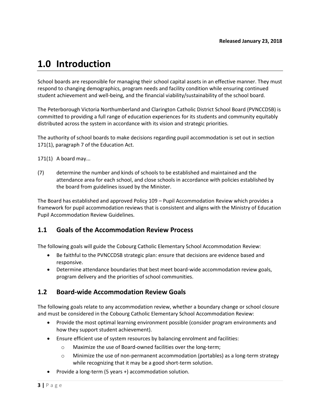## **1.0 Introduction**

School boards are responsible for managing their school capital assets in an effective manner. They must respond to changing demographics, program needs and facility condition while ensuring continued student achievement and well-being, and the financial viability/sustainability of the school board.

The Peterborough Victoria Northumberland and Clarington Catholic District School Board (PVNCCDSB) is committed to providing a full range of education experiences for its students and community equitably distributed across the system in accordance with its vision and strategic priorities.

The authority of school boards to make decisions regarding pupil accommodation is set out in section 171(1), paragraph 7 of the Education Act.

171(1) A board may...

(7) determine the number and kinds of schools to be established and maintained and the attendance area for each school, and close schools in accordance with policies established by the board from guidelines issued by the Minister.

The Board has established and approved Policy 109 – Pupil Accommodation Review which provides a framework for pupil accommodation reviews that is consistent and aligns with the Ministry of Education Pupil Accommodation Review Guidelines.

#### **1.1 Goals of the Accommodation Review Process**

The following goals will guide the Cobourg Catholic Elementary School Accommodation Review:

- Be faithful to the PVNCCDSB strategic plan: ensure that decisions are evidence based and responsive.
- Determine attendance boundaries that best meet board-wide accommodation review goals, program delivery and the priorities of school communities.

#### **1.2 Board-wide Accommodation Review Goals**

The following goals relate to any accommodation review, whether a boundary change or school closure and must be considered in the Cobourg Catholic Elementary School Accommodation Review:

- Provide the most optimal learning environment possible (consider program environments and how they support student achievement).
- Ensure efficient use of system resources by balancing enrolment and facilities:
	- o Maximize the use of Board-owned facilities over the long-term;
	- $\circ$  Minimize the use of non-permanent accommodation (portables) as a long-term strategy while recognizing that it may be a good short-term solution.
- Provide a long-term (5 years +) accommodation solution.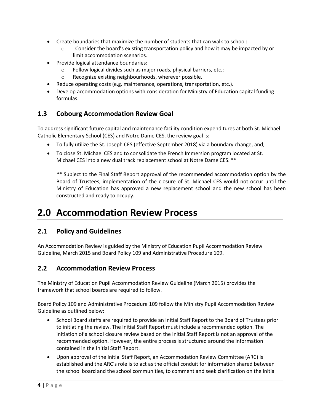- Create boundaries that maximize the number of students that can walk to school:
	- o Consider the board's existing transportation policy and how it may be impacted by or limit accommodation scenarios.
- Provide logical attendance boundaries:
	- o Follow logical divides such as major roads, physical barriers, etc.;
	- o Recognize existing neighbourhoods, wherever possible.
- Reduce operating costs (e.g. maintenance, operations, transportation, etc.).
- Develop accommodation options with consideration for Ministry of Education capital funding formulas.

### **1.3 Cobourg Accommodation Review Goal**

To address significant future capital and maintenance facility condition expenditures at both St. Michael Catholic Elementary School (CES) and Notre Dame CES, the review goal is:

- To fully utilize the St. Joseph CES (effective September 2018) via a boundary change, and;
- To close St. Michael CES and to consolidate the French Immersion program located at St. Michael CES into a new dual track replacement school at Notre Dame CES. \*\*

\*\* Subject to the Final Staff Report approval of the recommended accommodation option by the Board of Trustees, implementation of the closure of St. Michael CES would not occur until the Ministry of Education has approved a new replacement school and the new school has been constructed and ready to occupy.

## **2.0 Accommodation Review Process**

#### **2.1 Policy and Guidelines**

An Accommodation Review is guided by the Ministry of Education Pupil Accommodation Review Guideline, March 2015 and Board Policy 109 and Administrative Procedure 109.

### **2.2 Accommodation Review Process**

The Ministry of Education Pupil Accommodation Review Guideline (March 2015) provides the framework that school boards are required to follow.

Board Policy 109 and Administrative Procedure 109 follow the Ministry Pupil Accommodation Review Guideline as outlined below:

- School Board staffs are required to provide an Initial Staff Report to the Board of Trustees prior to initiating the review. The Initial Staff Report must include a recommended option. The initiation of a school closure review based on the Initial Staff Report is not an approval of the recommended option. However, the entire process is structured around the information contained in the Initial Staff Report.
- Upon approval of the Initial Staff Report, an Accommodation Review Committee (ARC) is established and the ARC's role is to act as the official conduit for information shared between the school board and the school communities, to comment and seek clarification on the initial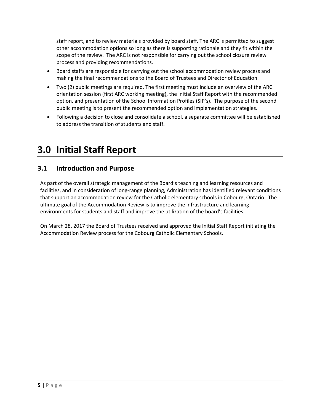staff report, and to review materials provided by board staff. The ARC is permitted to suggest other accommodation options so long as there is supporting rationale and they fit within the scope of the review. The ARC is not responsible for carrying out the school closure review process and providing recommendations.

- Board staffs are responsible for carrying out the school accommodation review process and making the final recommendations to the Board of Trustees and Director of Education.
- Two (2) public meetings are required. The first meeting must include an overview of the ARC orientation session (first ARC working meeting), the Initial Staff Report with the recommended option, and presentation of the School Information Profiles (SIP's). The purpose of the second public meeting is to present the recommended option and implementation strategies.
- Following a decision to close and consolidate a school, a separate committee will be established to address the transition of students and staff.

## **3.0 Initial Staff Report**

## **3.1 Introduction and Purpose**

As part of the overall strategic management of the Board's teaching and learning resources and facilities, and in consideration of long-range planning, Administration has identified relevant conditions that support an accommodation review for the Catholic elementary schools in Cobourg, Ontario. The ultimate goal of the Accommodation Review is to improve the infrastructure and learning environments for students and staff and improve the utilization of the board's facilities.

On March 28, 2017 the Board of Trustees received and approved the Initial Staff Report initiating the Accommodation Review process for the Cobourg Catholic Elementary Schools.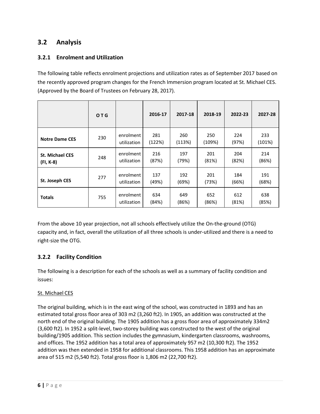#### **3.2 Analysis**

#### **3.2.1 Enrolment and Utilization**

The following table reflects enrolment projections and utilization rates as of September 2017 based on the recently approved program changes for the French Immersion program located at St. Michael CES. (Approved by the Board of Trustees on February 28, 2017).

|                                     | OTG |                          | 2016-17       | 2017-18       | 2018-19       | 2022-23      | 2027-28       |
|-------------------------------------|-----|--------------------------|---------------|---------------|---------------|--------------|---------------|
| <b>Notre Dame CES</b>               | 230 | enrolment<br>utilization | 281<br>(122%) | 260<br>(113%) | 250<br>(109%) | 224<br>(97%) | 233<br>(101%) |
| <b>St. Michael CES</b><br>(FI, K-8) | 248 | enrolment<br>utilization | 216<br>(87%)  | 197<br>(79%)  | 201<br>(81%)  | 204<br>(82%) | 214<br>(86%)  |
| St. Joseph CES                      | 277 | enrolment<br>utilization | 137<br>(49%)  | 192<br>(69%)  | 201<br>(73%)  | 184<br>(66%) | 191<br>(68%)  |
| <b>Totals</b>                       | 755 | enrolment<br>utilization | 634<br>(84%)  | 649<br>(86%)  | 652<br>(86%)  | 612<br>(81%) | 638<br>(85%)  |

From the above 10 year projection, not all schools effectively utilize the On-the-ground (OTG) capacity and, in fact, overall the utilization of all three schools is under-utilized and there is a need to right-size the OTG.

#### **3.2.2 Facility Condition**

The following is a description for each of the schools as well as a summary of facility condition and issues:

#### St. Michael CES

The original building, which is in the east wing of the school, was constructed in 1893 and has an estimated total gross floor area of 303 m2 (3,260 ft2). In 1905, an addition was constructed at the north end of the original building. The 1905 addition has a gross floor area of approximately 334m2 (3,600 ft2). In 1952 a split-level, two-storey building was constructed to the west of the original building/1905 addition. This section includes the gymnasium, kindergarten classrooms, washrooms, and offices. The 1952 addition has a total area of approximately 957 m2 (10,300 ft2). The 1952 addition was then extended in 1958 for additional classrooms. This 1958 addition has an approximate area of 515 m2 (5,540 ft2). Total gross floor is 1,806 m2 (22,700 ft2).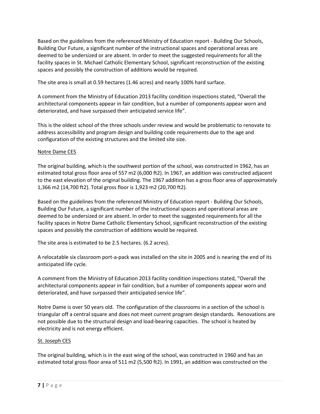Based on the guidelines from the referenced Ministry of Education report - Building Our Schools, Building Our Future, a significant number of the instructional spaces and operational areas are deemed to be undersized or are absent. In order to meet the suggested requirements for all the facility spaces in St. Michael Catholic Elementary School, significant reconstruction of the existing spaces and possibly the construction of additions would be required.

The site area is small at 0.59 hectares (1.46 acres) and nearly 100% hard surface.

A comment from the Ministry of Education 2013 facility condition inspections stated, "Overall the architectural components appear in fair condition, but a number of components appear worn and deteriorated, and have surpassed their anticipated service life".

This is the oldest school of the three schools under review and would be problematic to renovate to address accessibility and program design and building code requirements due to the age and configuration of the existing structures and the limited site size.

#### Notre Dame CES

The original building, which is the southwest portion of the school, was constructed in 1962, has an estimated total gross floor area of 557 m2 (6,000 ft2). In 1967, an addition was constructed adjacent to the east elevation of the original building. The 1967 addition has a gross floor area of approximately 1,366 m2 (14,700 ft2). Total gross floor is 1,923 m2 (20,700 ft2).

Based on the guidelines from the referenced Ministry of Education report - Building Our Schools, Building Our Future, a significant number of the instructional spaces and operational areas are deemed to be undersized or are absent. In order to meet the suggested requirements for all the facility spaces in Notre Dame Catholic Elementary School, significant reconstruction of the existing spaces and possibly the construction of additions would be required.

The site area is estimated to be 2.5 hectares. (6.2 acres).

A relocatable six classroom port-a-pack was installed on the site in 2005 and is nearing the end of its anticipated life cycle.

A comment from the Ministry of Education 2013 facility condition inspections stated, "Overall the architectural components appear in fair condition, but a number of components appear worn and deteriorated, and have surpassed their anticipated service life".

Notre Dame is over 50 years old. The configuration of the classrooms in a section of the school is triangular off a central square and does not meet current program design standards. Renovations are not possible due to the structural design and load-bearing capacities. The school is heated by electricity and is not energy efficient.

#### St. Joseph CES

The original building, which is in the east wing of the school, was constructed in 1960 and has an estimated total gross floor area of 511 m2 (5,500 ft2). In 1991, an addition was constructed on the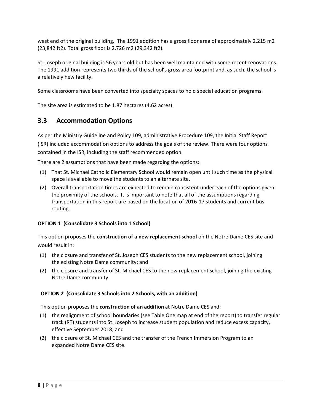west end of the original building. The 1991 addition has a gross floor area of approximately 2,215 m2 (23,842 ft2). Total gross floor is 2,726 m2 (29,342 ft2).

St. Joseph original building is 56 years old but has been well maintained with some recent renovations. The 1991 addition represents two thirds of the school's gross area footprint and, as such, the school is a relatively new facility.

Some classrooms have been converted into specialty spaces to hold special education programs.

The site area is estimated to be 1.87 hectares (4.62 acres).

## **3.3 Accommodation Options**

As per the Ministry Guideline and Policy 109, administrative Procedure 109, the Initial Staff Report (ISR) included accommodation options to address the goals of the review. There were four options contained in the ISR, including the staff recommended option.

There are 2 assumptions that have been made regarding the options:

- (1) That St. Michael Catholic Elementary School would remain open until such time as the physical space is available to move the students to an alternate site.
- (2) Overall transportation times are expected to remain consistent under each of the options given the proximity of the schools. It is important to note that all of the assumptions regarding transportation in this report are based on the location of 2016-17 students and current bus routing.

#### **OPTION 1 (Consolidate 3 Schools into 1 School)**

This option proposes the **construction of a new replacement school** on the Notre Dame CES site and would result in:

- (1) the closure and transfer of St. Joseph CES students to the new replacement school, joining the existing Notre Dame community: and
- (2) the closure and transfer of St. Michael CES to the new replacement school, joining the existing Notre Dame community.

#### **OPTION 2 (Consolidate 3 Schools into 2 Schools, with an addition)**

This option proposes the **construction of an addition** at Notre Dame CES and:

- (1) the realignment of school boundaries (see Table One map at end of the report) to transfer regular track (RT) students into St. Joseph to increase student population and reduce excess capacity, effective September 2018; and
- (2) the closure of St. Michael CES and the transfer of the French Immersion Program to an expanded Notre Dame CES site.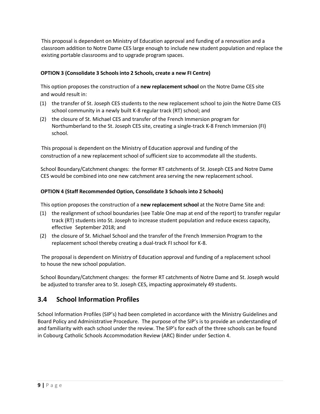This proposal is dependent on Ministry of Education approval and funding of a renovation and a classroom addition to Notre Dame CES large enough to include new student population and replace the existing portable classrooms and to upgrade program spaces.

#### **OPTION 3 (Consolidate 3 Schools into 2 Schools, create a new FI Centre)**

This option proposes the construction of a **new replacement school** on the Notre Dame CES site and would result in:

- (1) the transfer of St. Joseph CES students to the new replacement school to join the Notre Dame CES school community in a newly built K-8 regular track (RT) school; and
- (2) the closure of St. Michael CES and transfer of the French Immersion program for Northumberland to the St. Joseph CES site, creating a single-track K-8 French Immersion (FI) school.

This proposal is dependent on the Ministry of Education approval and funding of the construction of a new replacement school of sufficient size to accommodate all the students.

School Boundary/Catchment changes: the former RT catchments of St. Joseph CES and Notre Dame CES would be combined into one new catchment area serving the new replacement school.

#### **OPTION 4 (Staff Recommended Option, Consolidate 3 Schools into 2 Schools)**

This option proposes the construction of a **new replacement school** at the Notre Dame Site and:

- (1) the realignment of school boundaries (see Table One map at end of the report) to transfer regular track (RT) students into St. Joseph to increase student population and reduce excess capacity, effective September 2018; and
- (2) the closure of St. Michael School and the transfer of the French Immersion Program to the replacement school thereby creating a dual-track FI school for K-8.

The proposal is dependent on Ministry of Education approval and funding of a replacement school to house the new school population.

School Boundary/Catchment changes: the former RT catchments of Notre Dame and St. Joseph would be adjusted to transfer area to St. Joseph CES, impacting approximately 49 students.

#### **3.4 School Information Profiles**

School Information Profiles (SIP's) had been completed in accordance with the Ministry Guidelines and Board Policy and Administrative Procedure. The purpose of the SIP's is to provide an understanding of and familiarity with each school under the review. The SIP's for each of the three schools can be found in Cobourg Catholic Schools Accommodation Review (ARC) Binder under Section 4.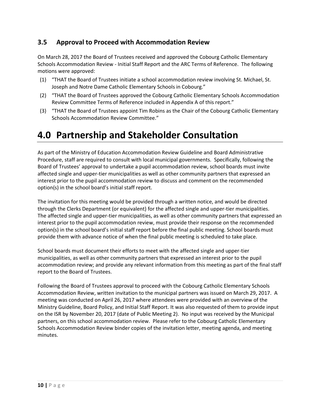### **3.5 Approval to Proceed with Accommodation Review**

On March 28, 2017 the Board of Trustees received and approved the Cobourg Catholic Elementary Schools Accommodation Review - Initial Staff Report and the ARC Terms of Reference. The following motions were approved:

- (1) "THAT the Board of Trustees initiate a school accommodation review involving St. Michael, St. Joseph and Notre Dame Catholic Elementary Schools in Cobourg."
- (2) "THAT the Board of Trustees approved the Cobourg Catholic Elementary Schools Accommodation Review Committee Terms of Reference included in Appendix A of this report."
- (3) "THAT the Board of Trustees appoint Tim Robins as the Chair of the Cobourg Catholic Elementary Schools Accommodation Review Committee."

## **4.0 Partnership and Stakeholder Consultation**

As part of the Ministry of Education Accommodation Review Guideline and Board Administrative Procedure, staff are required to consult with local municipal governments. Specifically, following the Board of Trustees' approval to undertake a pupil accommodation review, school boards must invite affected single and upper-tier municipalities as well as other community partners that expressed an interest prior to the pupil accommodation review to discuss and comment on the recommended option(s) in the school board's initial staff report.

The invitation for this meeting would be provided through a written notice, and would be directed through the Clerks Department (or equivalent) for the affected single and upper-tier municipalities. The affected single and upper-tier municipalities, as well as other community partners that expressed an interest prior to the pupil accommodation review, must provide their response on the recommended option(s) in the school board's initial staff report before the final public meeting. School boards must provide them with advance notice of when the final public meeting is scheduled to take place.

School boards must document their efforts to meet with the affected single and upper-tier municipalities, as well as other community partners that expressed an interest prior to the pupil accommodation review; and provide any relevant information from this meeting as part of the final staff report to the Board of Trustees.

Following the Board of Trustees approval to proceed with the Cobourg Catholic Elementary Schools Accommodation Review, written invitation to the municipal partners was issued on March 29, 2017. A meeting was conducted on April 26, 2017 where attendees were provided with an overview of the Ministry Guideline, Board Policy, and Initial Staff Report. It was also requested of them to provide input on the ISR by November 20, 2017 (date of Public Meeting 2). No input was received by the Municipal partners, on this school accommodation review. Please refer to the Cobourg Catholic Elementary Schools Accommodation Review binder copies of the invitation letter, meeting agenda, and meeting minutes.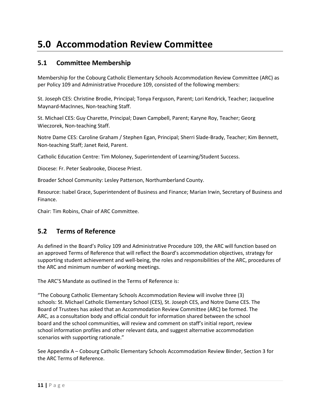## **5.0 Accommodation Review Committee**

#### **5.1 Committee Membership**

Membership for the Cobourg Catholic Elementary Schools Accommodation Review Committee (ARC) as per Policy 109 and Administrative Procedure 109, consisted of the following members:

St. Joseph CES: Christine Brodie, Principal; Tonya Ferguson, Parent; Lori Kendrick, Teacher; Jacqueline Maynard-MacInnes, Non-teaching Staff.

St. Michael CES: Guy Charette, Principal; Dawn Campbell, Parent; Karyne Roy, Teacher; Georg Wieczorek, Non-teaching Staff.

Notre Dame CES: Caroline Graham / Stephen Egan, Principal; Sherri Slade-Brady, Teacher; Kim Bennett, Non-teaching Staff; Janet Reid, Parent.

Catholic Education Centre: Tim Moloney, Superintendent of Learning/Student Success.

Diocese: Fr. Peter Seabrooke, Diocese Priest.

Broader School Community: Lesley Patterson, Northumberland County.

Resource: Isabel Grace, Superintendent of Business and Finance; Marian Irwin, Secretary of Business and Finance.

Chair: Tim Robins, Chair of ARC Committee.

#### **5.2 Terms of Reference**

As defined in the Board's Policy 109 and Administrative Procedure 109, the ARC will function based on an approved Terms of Reference that will reflect the Board's accommodation objectives, strategy for supporting student achievement and well-being, the roles and responsibilities of the ARC, procedures of the ARC and minimum number of working meetings.

The ARC'S Mandate as outlined in the Terms of Reference is:

"The Cobourg Catholic Elementary Schools Accommodation Review will involve three (3) schools: St. Michael Catholic Elementary School (CES), St. Joseph CES, and Notre Dame CES. The Board of Trustees has asked that an Accommodation Review Committee (ARC) be formed. The ARC, as a consultation body and official conduit for information shared between the school board and the school communities, will review and comment on staff's initial report, review school information profiles and other relevant data, and suggest alternative accommodation scenarios with supporting rationale."

See Appendix A – Cobourg Catholic Elementary Schools Accommodation Review Binder, Section 3 for the ARC Terms of Reference.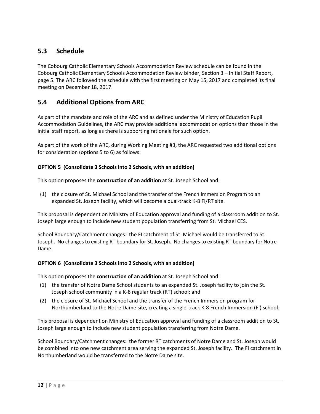### **5.3 Schedule**

The Cobourg Catholic Elementary Schools Accommodation Review schedule can be found in the Cobourg Catholic Elementary Schools Accommodation Review binder, Section 3 – Initial Staff Report, page 5. The ARC followed the schedule with the first meeting on May 15, 2017 and completed its final meeting on December 18, 2017.

#### **5.4 Additional Options from ARC**

As part of the mandate and role of the ARC and as defined under the Ministry of Education Pupil Accommodation Guidelines, the ARC may provide additional accommodation options than those in the initial staff report, as long as there is supporting rationale for such option.

As part of the work of the ARC, during Working Meeting #3, the ARC requested two additional options for consideration (options 5 to 6) as follows:

#### **OPTION 5 (Consolidate 3 Schools into 2 Schools, with an addition)**

This option proposes the **construction of an addition** at St. Joseph School and:

(1) the closure of St. Michael School and the transfer of the French Immersion Program to an expanded St. Joseph facility, which will become a dual-track K-8 FI/RT site.

This proposal is dependent on Ministry of Education approval and funding of a classroom addition to St. Joseph large enough to include new student population transferring from St. Michael CES.

School Boundary/Catchment changes: the FI catchment of St. Michael would be transferred to St. Joseph. No changes to existing RT boundary for St. Joseph. No changes to existing RT boundary for Notre Dame.

#### **OPTION 6 (Consolidate 3 Schools into 2 Schools, with an addition)**

This option proposes the **construction of an addition** at St. Joseph School and:

- (1) the transfer of Notre Dame School students to an expanded St. Joseph facility to join the St. Joseph school community in a K-8 regular track (RT) school; and
- (2) the closure of St. Michael School and the transfer of the French Immersion program for Northumberland to the Notre Dame site, creating a single-track K-8 French Immersion (FI) school.

This proposal is dependent on Ministry of Education approval and funding of a classroom addition to St. Joseph large enough to include new student population transferring from Notre Dame.

School Boundary/Catchment changes: the former RT catchments of Notre Dame and St. Joseph would be combined into one new catchment area serving the expanded St. Joseph facility. The FI catchment in Northumberland would be transferred to the Notre Dame site.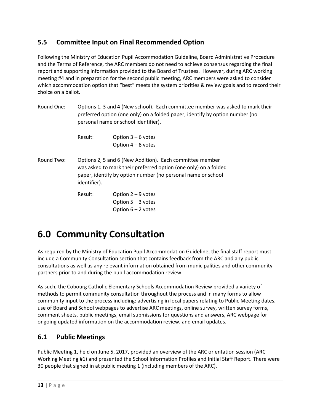## **5.5 Committee Input on Final Recommended Option**

Following the Ministry of Education Pupil Accommodation Guideline, Board Administrative Procedure and the Terms of Reference, the ARC members do not need to achieve consensus regarding the final report and supporting information provided to the Board of Trustees. However, during ARC working meeting #4 and in preparation for the second public meeting, ARC members were asked to consider which accommodation option that "best" meets the system priorities & review goals and to record their choice on a ballot.

| Round One: | Options 1, 3 and 4 (New school). Each committee member was asked to mark their<br>preferred option (one only) on a folded paper, identify by option number (no<br>personal name or school identifier).      |                                                                      |  |  |  |
|------------|-------------------------------------------------------------------------------------------------------------------------------------------------------------------------------------------------------------|----------------------------------------------------------------------|--|--|--|
|            | Result:                                                                                                                                                                                                     | Option $3 - 6$ votes<br>Option $4 - 8$ votes                         |  |  |  |
| Round Two: | Options 2, 5 and 6 (New Addition). Each committee member<br>was asked to mark their preferred option (one only) on a folded<br>paper, identify by option number (no personal name or school<br>identifier). |                                                                      |  |  |  |
|            | Result:                                                                                                                                                                                                     | Option $2 - 9$ votes<br>Option $5 - 3$ votes<br>Option $6 - 2$ votes |  |  |  |

## **6.0 Community Consultation**

As required by the Ministry of Education Pupil Accommodation Guideline, the final staff report must include a Community Consultation section that contains feedback from the ARC and any public consultations as well as any relevant information obtained from municipalities and other community partners prior to and during the pupil accommodation review.

As such, the Cobourg Catholic Elementary Schools Accommodation Review provided a variety of methods to permit community consultation throughout the process and in many forms to allow community input to the process including: advertising in local papers relating to Public Meeting dates, use of Board and School webpages to advertise ARC meetings, online survey, written survey forms, comment sheets, public meetings, email submissions for questions and answers, ARC webpage for ongoing updated information on the accommodation review, and email updates.

### **6.1 Public Meetings**

Public Meeting 1, held on June 5, 2017, provided an overview of the ARC orientation session (ARC Working Meeting #1) and presented the School Information Profiles and Initial Staff Report. There were 30 people that signed in at public meeting 1 (including members of the ARC).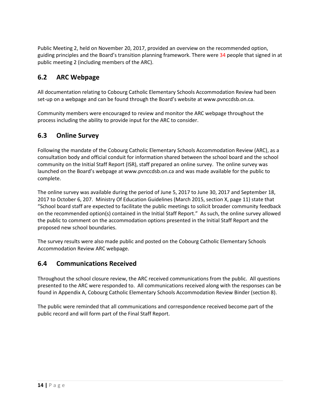Public Meeting 2, held on November 20, 2017, provided an overview on the recommended option, guiding principles and the Board's transition planning framework. There were 34 people that signed in at public meeting 2 (including members of the ARC).

## **6.2 ARC Webpage**

All documentation relating to Cobourg Catholic Elementary Schools Accommodation Review had been set-up on a webpage and can be found through the Board's website at [www.pvnccdsb.on.ca.](http://www.pvnccdsb.on.ca/)

Community members were encouraged to review and monitor the ARC webpage throughout the process including the ability to provide input for the ARC to consider.

### **6.3 Online Survey**

Following the mandate of the Cobourg Catholic Elementary Schools Accommodation Review (ARC), as a consultation body and official conduit for information shared between the school board and the school community on the Initial Staff Report (ISR), staff prepared an online survey. The online survey was launched on the Board's webpage at www.pvnccdsb.on.ca and was made available for the public to complete.

The online survey was available during the period of June 5, 2017 to June 30, 2017 and September 18, 2017 to October 6, 207. Ministry Of Education Guidelines (March 2015, section X, page 11) state that "School board staff are expected to facilitate the public meetings to solicit broader community feedback on the recommended option(s) contained in the Initial Staff Report." As such, the online survey allowed the public to comment on the accommodation options presented in the Initial Staff Report and the proposed new school boundaries.

The survey results were also made public and posted on the Cobourg Catholic Elementary Schools Accommodation Review ARC webpage.

### **6.4 Communications Received**

Throughout the school closure review, the ARC received communications from the public. All questions presented to the ARC were responded to. All communications received along with the responses can be found in Appendix A, Cobourg Catholic Elementary Schools Accommodation Review Binder (section 8).

The public were reminded that all communications and correspondence received become part of the public record and will form part of the Final Staff Report.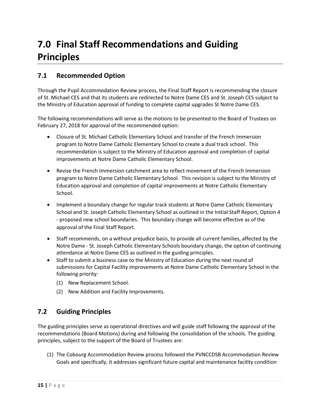# **7.0 Final Staff Recommendations and Guiding Principles**

## **7.1 Recommended Option**

Through the Pupil Accommodation Review process, the Final Staff Report is recommending the closure of St. Michael CES and that its students are redirected to Notre Dame CES and St. Joseph CES subject to the Ministry of Education approval of funding to complete capital upgrades St Notre Dame CES.

The following recommendations will serve as the motions to be presented to the Board of Trustees on February 27, 2018 for approval of the recommended option:

- Closure of St. Michael Catholic Elementary School and transfer of the French Immersion program to Notre Dame Catholic Elementary School to create a dual track school. This recommendation is subject to the Ministry of Education approval and completion of capital improvements at Notre Dame Catholic Elementary School.
- Revise the French Immersion catchment area to reflect movement of the French Immersion program to Notre Dame Catholic Elementary School. This revision is subject to the Ministry of Education approval and completion of capital improvements at Notre Catholic Elementary School.
- Implement a boundary change for regular track students at Notre Dame Catholic Elementary School and St. Joseph Catholic Elementary School as outlined in the Initial Staff Report, Option 4 - proposed new school boundaries. This boundary change will become effective as of the approval of the Final Staff Report.
- Staff recommends, on a without prejudice basis, to provide all current families, affected by the Notre Dame - St. Joseph Catholic Elementary Schools boundary change, the option of continuing attendance at Notre Dame CES as outlined in the guiding principles.
- Staff to submit a business case to the Ministry of Education during the next round of submissions for Capital Facility improvements at Notre Dame Catholic Elementary School in the following priority:
	- (1) New Replacement School.
	- (2) New Addition and Facility Improvements.

### **7.2 Guiding Principles**

The guiding principles serve as operational directives and will guide staff following the approval of the recommendations (Board Motions) during and following the consolidation of the schools. The guiding principles, subject to the support of the Board of Trustees are:

(1) The Cobourg Accommodation Review process followed the PVNCCDSB Accommodation Review Goals and specifically, it addresses significant future capital and maintenance facility condition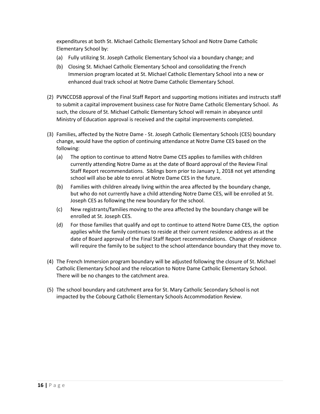expenditures at both St. Michael Catholic Elementary School and Notre Dame Catholic Elementary School by:

- (a) Fully utilizing St. Joseph Catholic Elementary School via a boundary change; and
- (b) Closing St. Michael Catholic Elementary School and consolidating the French Immersion program located at St. Michael Catholic Elementary School into a new or enhanced dual track school at Notre Dame Catholic Elementary School.
- (2) PVNCCDSB approval of the Final Staff Report and supporting motions initiates and instructs staff to submit a capital improvement business case for Notre Dame Catholic Elementary School. As such, the closure of St. Michael Catholic Elementary School will remain in abeyance until Ministry of Education approval is received and the capital improvements completed.
- (3) Families, affected by the Notre Dame St. Joseph Catholic Elementary Schools (CES) boundary change, would have the option of continuing attendance at Notre Dame CES based on the following:
	- (a) The option to continue to attend Notre Dame CES applies to families with children currently attending Notre Dame as at the date of Board approval of the Review Final Staff Report recommendations. Siblings born prior to January 1, 2018 not yet attending school will also be able to enrol at Notre Dame CES in the future.
	- (b) Families with children already living within the area affected by the boundary change, but who do not currently have a child attending Notre Dame CES, will be enrolled at St. Joseph CES as following the new boundary for the school.
	- (c) New registrants/families moving to the area affected by the boundary change will be enrolled at St. Joseph CES.
	- (d) For those families that qualify and opt to continue to attend Notre Dame CES, the option applies while the family continues to reside at their current residence address as at the date of Board approval of the Final Staff Report recommendations. Change of residence will require the family to be subject to the school attendance boundary that they move to.
- (4) The French Immersion program boundary will be adjusted following the closure of St. Michael Catholic Elementary School and the relocation to Notre Dame Catholic Elementary School. There will be no changes to the catchment area.
- (5) The school boundary and catchment area for St. Mary Catholic Secondary School is not impacted by the Cobourg Catholic Elementary Schools Accommodation Review.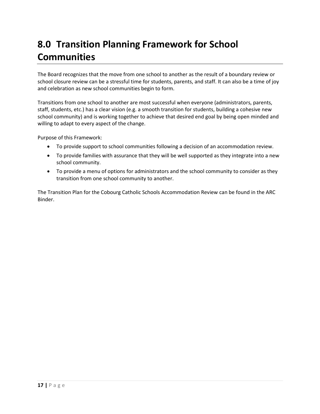# **8.0 Transition Planning Framework for School Communities**

The Board recognizes that the move from one school to another as the result of a boundary review or school closure review can be a stressful time for students, parents, and staff. It can also be a time of joy and celebration as new school communities begin to form.

Transitions from one school to another are most successful when everyone (administrators, parents, staff, students, etc.) has a clear vision (e.g. a smooth transition for students, building a cohesive new school community) and is working together to achieve that desired end goal by being open minded and willing to adapt to every aspect of the change.

Purpose of this Framework:

- To provide support to school communities following a decision of an accommodation review.
- To provide families with assurance that they will be well supported as they integrate into a new school community.
- To provide a menu of options for administrators and the school community to consider as they transition from one school community to another.

The Transition Plan for the Cobourg Catholic Schools Accommodation Review can be found in the ARC Binder.